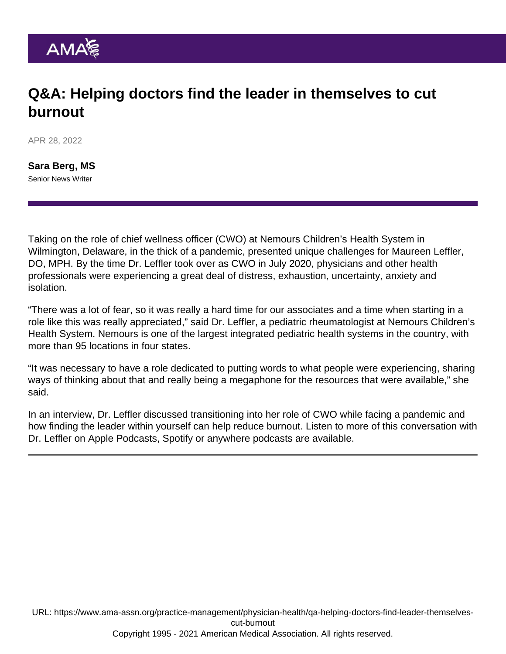## Q&A: Helping doctors find the leader in themselves to cut burnout

APR 28, 2022

[Sara Berg, MS](https://www.ama-assn.org/news-leadership-viewpoints/authors-news-leadership-viewpoints/sara-berg-ms) Senior News Writer

Taking on the role of [chief wellness officer](https://www.ama-assn.org/practice-management/physician-health/what-chief-wellness-officer) (CWO) at Nemours Children's Health System in Wilmington, Delaware, in the thick of a pandemic, presented unique challenges for Maureen Leffler, DO, MPH. By the time Dr. Leffler took over as CWO in July 2020, physicians and other health professionals were experiencing a great deal of distress, exhaustion, uncertainty, anxiety and isolation.

"There was a lot of fear, so it was really a hard time for our associates and a time when starting in a role like this was really appreciated," said Dr. Leffler, a pediatric rheumatologist at Nemours Children's Health System. Nemours is one of the largest integrated pediatric health systems in the country, with more than 95 locations in four states.

"It was necessary to have a role dedicated to putting words to what people were experiencing, sharing ways of thinking about that and really being a megaphone for the resources that were available," she said.

In an interview, Dr. Leffler discussed transitioning into her role of CWO while facing a pandemic and how finding the leader within yourself can help reduce burnout. Listen to more of this conversation with Dr. Leffler on [Apple Podcasts](https://podcasts.apple.com/us/podcast/ama-moving-medicine/id1428853046?mt=2), [Spotify](https://open.spotify.com/show/0EOemNTApA8y9PzvvNhKiU?si=2iFRK4mMSXa682DtKzF2Dw&dl_branch=1) or [anywhere](https://ama-moving-medicine.simplecast.com/) podcasts are available.

URL: [https://www.ama-assn.org/practice-management/physician-health/qa-helping-doctors-find-leader-themselves](https://www.ama-assn.org/practice-management/physician-health/qa-helping-doctors-find-leader-themselves-cut-burnout)[cut-burnout](https://www.ama-assn.org/practice-management/physician-health/qa-helping-doctors-find-leader-themselves-cut-burnout) Copyright 1995 - 2021 American Medical Association. All rights reserved.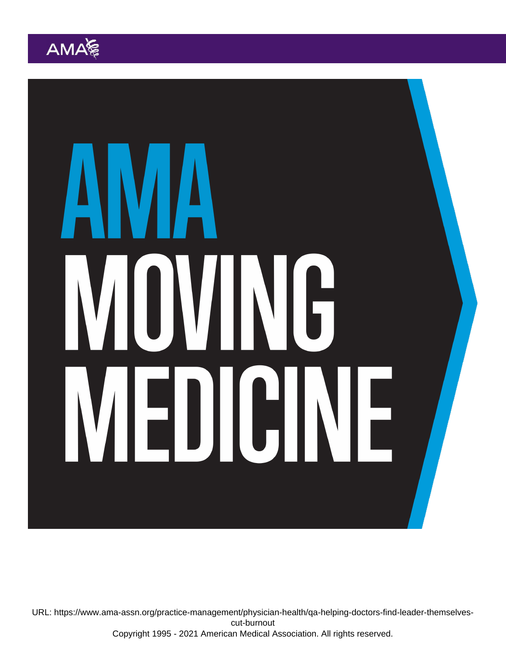URL: [https://www.ama-assn.org/practice-management/physician-health/qa-helping-doctors-find-leader-themselves](https://www.ama-assn.org/practice-management/physician-health/qa-helping-doctors-find-leader-themselves-cut-burnout)[cut-burnout](https://www.ama-assn.org/practice-management/physician-health/qa-helping-doctors-find-leader-themselves-cut-burnout) Copyright 1995 - 2021 American Medical Association. All rights reserved.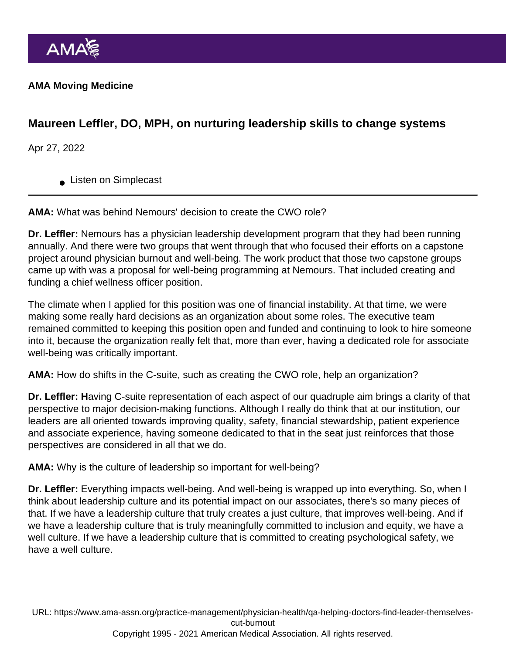AMA Moving Medicine

Maureen Leffler, DO, MPH, on nurturing leadership skills to change systems

Apr 27, 2022

**Listen on Simplecast** 

AMA: What was behind Nemours' decision to create the CWO role?

Dr. Leffler: Nemours has a physician leadership development program that they had been running annually. And there were two groups that went through that who focused their efforts on a capstone project around physician burnout and well-being. The work product that those two capstone groups came up with was a proposal for well-being programming at Nemours. That included creating and funding a chief wellness officer position.

The climate when I applied for this position was one of financial instability. At that time, we were making some really hard decisions as an organization about some roles. The executive team remained committed to keeping this position open and funded and continuing to look to hire someone into it, because the organization really felt that, more than ever, having a dedicated role for associate well-being was critically important.

AMA: How do shifts in the C-suite, such as creating the CWO role, help an organization?

Dr. Leffler: H aving C-suite representation of each aspect of our quadruple aim brings a clarity of that perspective to major decision-making functions. Although I really do think that at our institution, our leaders are all oriented towards improving quality, safety, financial stewardship, patient experience and associate experience, having someone dedicated to that in the seat just reinforces that those perspectives are considered in all that we do.

AMA: Why is the culture of leadership so important for well-being?

Dr. Leffler: Everything impacts well-being. And well-being is wrapped up into everything. So, when I think about leadership culture and its potential impact on our associates, there's so many pieces of that. If we have a leadership culture that truly creates a just culture, that improves well-being. And if we have a leadership culture that is truly meaningfully committed to inclusion and equity, we have a well culture. If we have a leadership culture that is committed to creating psychological safety, we have a well culture.

URL: [https://www.ama-assn.org/practice-management/physician-health/qa-helping-doctors-find-leader-themselves](https://www.ama-assn.org/practice-management/physician-health/qa-helping-doctors-find-leader-themselves-cut-burnout)[cut-burnout](https://www.ama-assn.org/practice-management/physician-health/qa-helping-doctors-find-leader-themselves-cut-burnout)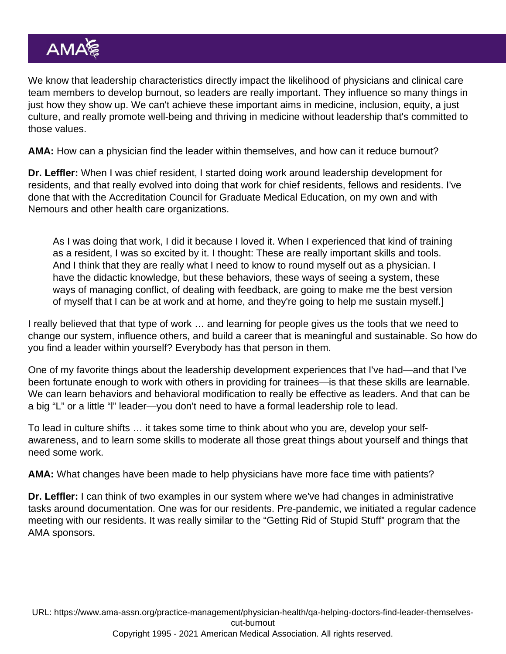We know that leadership characteristics directly impact the likelihood of physicians and clinical care team members to develop burnout, so leaders are really important. They influence so many things in just how they show up. We can't achieve these important aims in medicine, inclusion, equity, a just culture, and really promote well-being and thriving in medicine without leadership that's committed to those values.

AMA: How can a physician find the leader within themselves, and how can it reduce burnout?

Dr. Leffler: When I was chief resident, I started doing work around leadership development for residents, and that really evolved into doing that work for chief residents, fellows and residents. I've done that with the Accreditation Council for Graduate Medical Education, on my own and with Nemours and other health care organizations.

As I was doing that work, I did it because I loved it. When I experienced that kind of training as a resident, I was so excited by it. I thought: These are really important skills and tools. And I think that they are really what I need to know to round myself out as a physician. I have the didactic knowledge, but these behaviors, these ways of seeing a system, these ways of managing conflict, of dealing with feedback, are going to make me the best version of myself that I can be at work and at home, and they're going to help me sustain myself.]

I really believed that that type of work … and learning for people gives us the tools that we need to change our system, influence others, and build a career that is meaningful and sustainable. So how do you find a leader within yourself? Everybody has that person in them.

One of my favorite things about the leadership development experiences that I've had—and that I've been fortunate enough to work with others in providing for trainees—is that these skills are learnable. We can learn behaviors and behavioral modification to really be effective as leaders. And that can be a big "L" or a little "l" leader—you don't need to have a formal leadership role to lead.

To lead in culture shifts … it takes some time to think about who you are, develop your selfawareness, and to learn some skills to moderate all those great things about yourself and things that need some work.

AMA: What changes have been made to help physicians have more face time with patients?

Dr. Leffler: I can think of two examples in our system where we've had changes in administrative tasks around documentation. One was for our residents. Pre-pandemic, we initiated a regular cadence meeting with our residents. It was really similar to the "[Getting Rid of Stupid Stuff"](https://www.ama-assn.org/practice-management/physician-health/5-steps-physicians-can-take-get-rid-stupid-stuff) program that the AMA sponsors.

URL: [https://www.ama-assn.org/practice-management/physician-health/qa-helping-doctors-find-leader-themselves](https://www.ama-assn.org/practice-management/physician-health/qa-helping-doctors-find-leader-themselves-cut-burnout)[cut-burnout](https://www.ama-assn.org/practice-management/physician-health/qa-helping-doctors-find-leader-themselves-cut-burnout)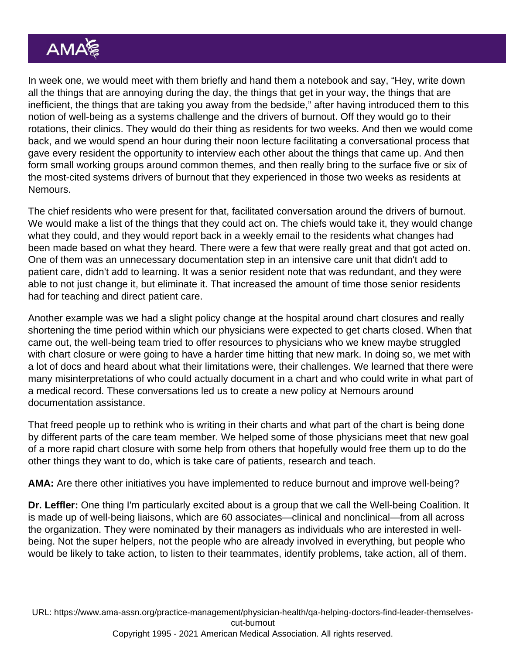In week one, we would meet with them briefly and hand them a notebook and say, "Hey, write down all the things that are annoying during the day, the things that get in your way, the things that are inefficient, the things that are taking you away from the bedside," after having introduced them to this notion of well-being as a systems challenge and the drivers of burnout. Off they would go to their rotations, their clinics. They would do their thing as residents for two weeks. And then we would come back, and we would spend an hour during their noon lecture facilitating a conversational process that gave every resident the opportunity to interview each other about the things that came up. And then form small working groups around common themes, and then really bring to the surface five or six of the most-cited systems drivers of burnout that they experienced in those two weeks as residents at Nemours.

The chief residents who were present for that, facilitated conversation around the drivers of burnout. We would make a list of the things that they could act on. The chiefs would take it, they would change what they could, and they would report back in a weekly email to the residents what changes had been made based on what they heard. There were a few that were really great and that got acted on. One of them was an unnecessary documentation step in an intensive care unit that didn't add to patient care, didn't add to learning. It was a senior resident note that was redundant, and they were able to not just change it, but eliminate it. That increased the amount of time those senior residents had for teaching and direct patient care.

Another example was we had a slight policy change at the hospital around chart closures and really shortening the time period within which our physicians were expected to get charts closed. When that came out, the well-being team tried to offer resources to physicians who we knew maybe struggled with chart closure or were going to have a harder time hitting that new mark. In doing so, we met with a lot of docs and heard about what their limitations were, their challenges. We learned that there were many misinterpretations of who could actually document in a chart and who could write in what part of a medical record. These conversations led us to create a new policy at Nemours around documentation assistance.

That freed people up to rethink who is writing in their charts and what part of the chart is being done by different parts of the care team member. We helped some of those physicians meet that new goal of a more rapid chart closure with some help from others that hopefully would free them up to do the other things they want to do, which is take care of patients, research and teach.

AMA: Are there other initiatives you have implemented to reduce burnout and improve well-being?

Dr. Leffler: One thing I'm particularly excited about is a group that we call the Well-being Coalition. It is made up of well-being liaisons, which are 60 associates—clinical and nonclinical—from all across the organization. They were nominated by their managers as individuals who are interested in wellbeing. Not the super helpers, not the people who are already involved in everything, but people who would be likely to take action, to listen to their teammates, identify problems, take action, all of them.

URL: [https://www.ama-assn.org/practice-management/physician-health/qa-helping-doctors-find-leader-themselves](https://www.ama-assn.org/practice-management/physician-health/qa-helping-doctors-find-leader-themselves-cut-burnout)[cut-burnout](https://www.ama-assn.org/practice-management/physician-health/qa-helping-doctors-find-leader-themselves-cut-burnout)